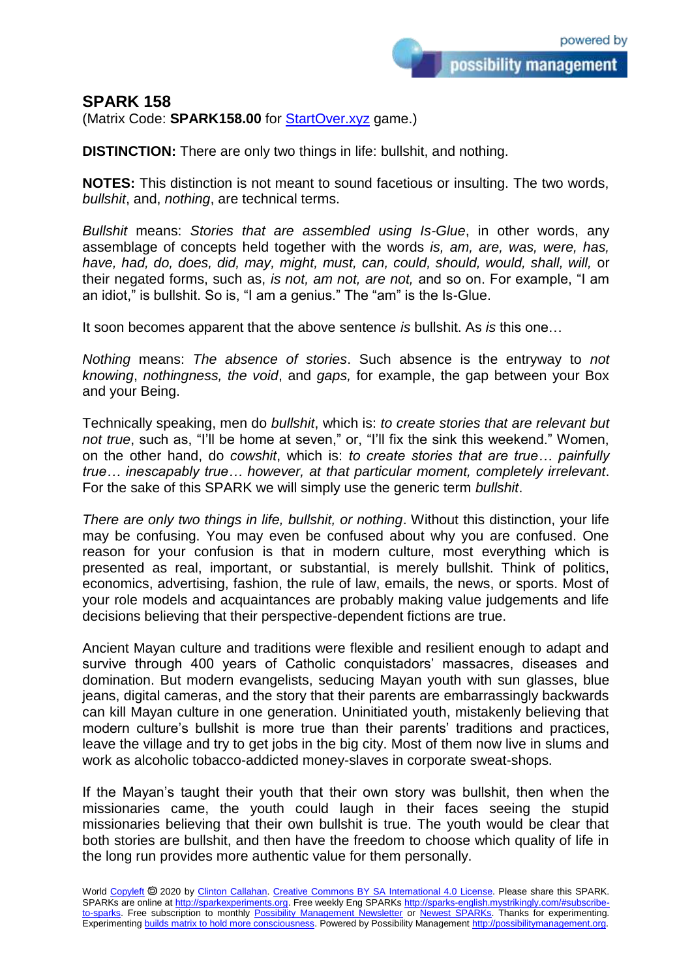## **SPARK 158**

(Matrix Code: **SPARK158.00** for **StartOver.xyz** game.)

**DISTINCTION:** There are only two things in life: bullshit, and nothing.

**NOTES:** This distinction is not meant to sound facetious or insulting. The two words, *bullshit*, and, *nothing*, are technical terms.

*Bullshit* means: *Stories that are assembled using Is-Glue*, in other words, any assemblage of concepts held together with the words *is, am, are, was, were, has, have, had, do, does, did, may, might, must, can, could, should, would, shall, will,* or their negated forms, such as, *is not, am not, are not,* and so on. For example, "I am an idiot," is bullshit. So is, "I am a genius." The "am" is the Is-Glue.

It soon becomes apparent that the above sentence *is* bullshit. As *is* this one…

*Nothing* means: *The absence of stories*. Such absence is the entryway to *not knowing*, *nothingness, the void*, and *gaps,* for example, the gap between your Box and your Being.

Technically speaking, men do *bullshit*, which is: *to create stories that are relevant but not true*, such as, "I'll be home at seven," or, "I'll fix the sink this weekend." Women, on the other hand, do *cowshit*, which is: *to create stories that are true… painfully true… inescapably true… however, at that particular moment, completely irrelevant*. For the sake of this SPARK we will simply use the generic term *bullshit*.

*There are only two things in life, bullshit, or nothing*. Without this distinction, your life may be confusing. You may even be confused about why you are confused. One reason for your confusion is that in modern culture, most everything which is presented as real, important, or substantial, is merely bullshit. Think of politics, economics, advertising, fashion, the rule of law, emails, the news, or sports. Most of your role models and acquaintances are probably making value judgements and life decisions believing that their perspective-dependent fictions are true.

Ancient Mayan culture and traditions were flexible and resilient enough to adapt and survive through 400 years of Catholic conquistadors' massacres, diseases and domination. But modern evangelists, seducing Mayan youth with sun glasses, blue jeans, digital cameras, and the story that their parents are embarrassingly backwards can kill Mayan culture in one generation. Uninitiated youth, mistakenly believing that modern culture's bullshit is more true than their parents' traditions and practices, leave the village and try to get jobs in the big city. Most of them now live in slums and work as alcoholic tobacco-addicted money-slaves in corporate sweat-shops.

If the Mayan's taught their youth that their own story was bullshit, then when the missionaries came, the youth could laugh in their faces seeing the stupid missionaries believing that their own bullshit is true. The youth would be clear that both stories are bullshit, and then have the freedom to choose which quality of life in the long run provides more authentic value for them personally.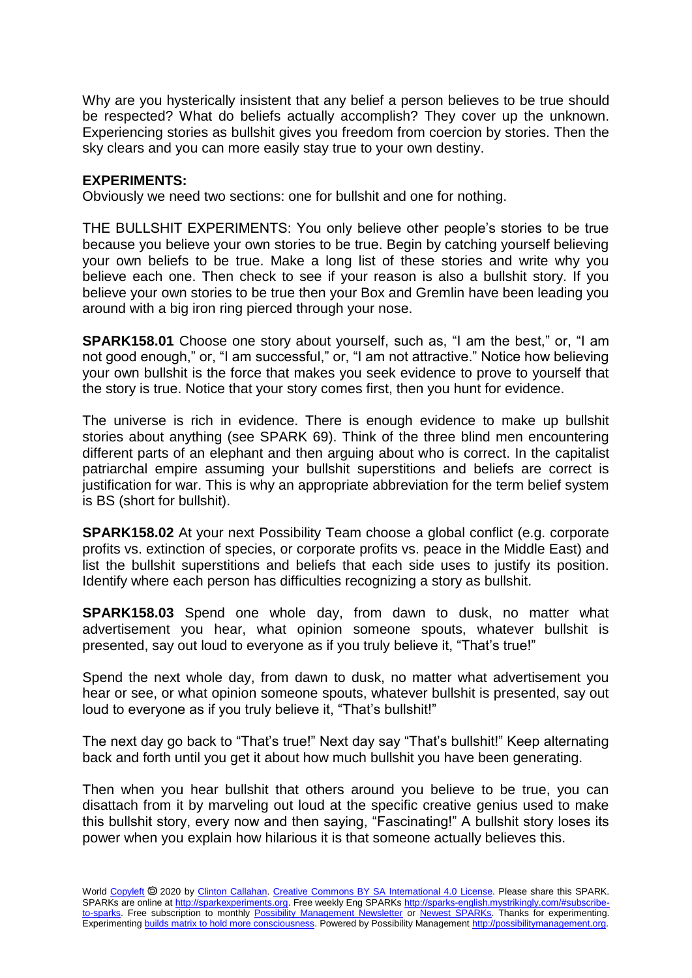Why are you hysterically insistent that any belief a person believes to be true should be respected? What do beliefs actually accomplish? They cover up the unknown. Experiencing stories as bullshit gives you freedom from coercion by stories. Then the sky clears and you can more easily stay true to your own destiny.

## **EXPERIMENTS:**

Obviously we need two sections: one for bullshit and one for nothing.

THE BULLSHIT EXPERIMENTS: You only believe other people's stories to be true because you believe your own stories to be true. Begin by catching yourself believing your own beliefs to be true. Make a long list of these stories and write why you believe each one. Then check to see if your reason is also a bullshit story. If you believe your own stories to be true then your Box and Gremlin have been leading you around with a big iron ring pierced through your nose.

**SPARK158.01** Choose one story about yourself, such as, "I am the best," or, "I am not good enough," or, "I am successful," or, "I am not attractive." Notice how believing your own bullshit is the force that makes you seek evidence to prove to yourself that the story is true. Notice that your story comes first, then you hunt for evidence.

The universe is rich in evidence. There is enough evidence to make up bullshit stories about anything (see SPARK 69). Think of the three blind men encountering different parts of an elephant and then arguing about who is correct. In the capitalist patriarchal empire assuming your bullshit superstitions and beliefs are correct is justification for war. This is why an appropriate abbreviation for the term belief system is BS (short for bullshit).

**SPARK158.02** At your next Possibility Team choose a global conflict (e.g. corporate profits vs. extinction of species, or corporate profits vs. peace in the Middle East) and list the bullshit superstitions and beliefs that each side uses to justify its position. Identify where each person has difficulties recognizing a story as bullshit.

**SPARK158.03** Spend one whole day, from dawn to dusk, no matter what advertisement you hear, what opinion someone spouts, whatever bullshit is presented, say out loud to everyone as if you truly believe it, "That's true!"

Spend the next whole day, from dawn to dusk, no matter what advertisement you hear or see, or what opinion someone spouts, whatever bullshit is presented, say out loud to everyone as if you truly believe it, "That's bullshit!"

The next day go back to "That's true!" Next day say "That's bullshit!" Keep alternating back and forth until you get it about how much bullshit you have been generating.

Then when you hear bullshit that others around you believe to be true, you can disattach from it by marveling out loud at the specific creative genius used to make this bullshit story, every now and then saying, "Fascinating!" A bullshit story loses its power when you explain how hilarious it is that someone actually believes this.